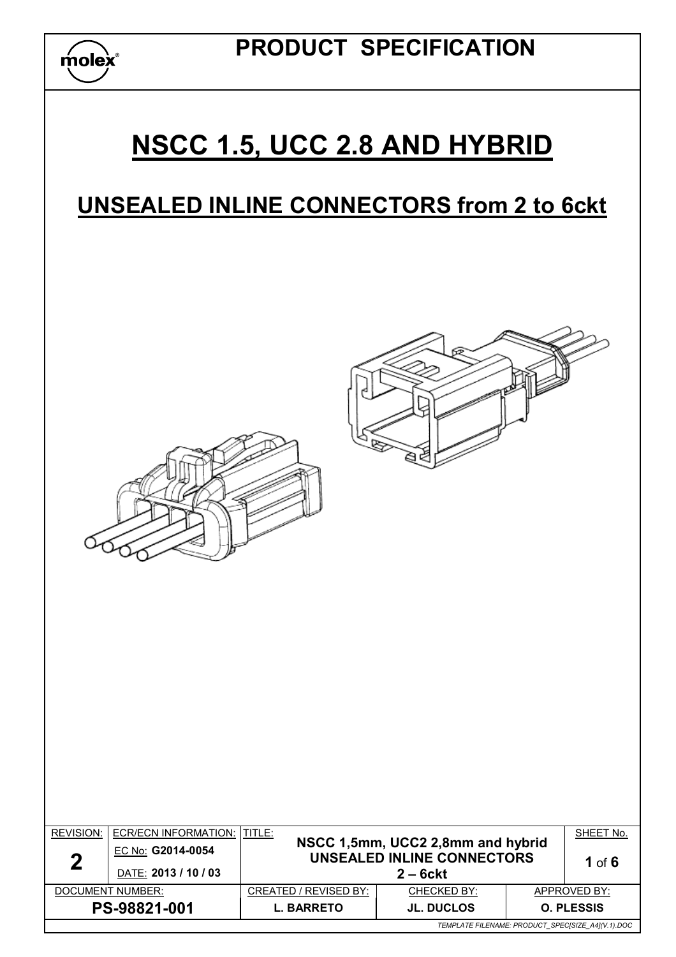

# **NSCC 1.5, UCC 2.8 AND HYBRID**

# **UNSEALED INLINE CONNECTORS from 2 to 6ckt**



| <b>REVISION:</b>                                  | <b>ECR/ECN INFORMATION: ITITLE:</b> |                       |                                                                        |  | SHEET No.         |
|---------------------------------------------------|-------------------------------------|-----------------------|------------------------------------------------------------------------|--|-------------------|
| າ                                                 | EC No: G2014-0054                   |                       | NSCC 1,5mm, UCC2 2,8mm and hybrid<br><b>UNSEALED INLINE CONNECTORS</b> |  | 1 of $6$          |
|                                                   | DATE: 2013 / 10 / 03                |                       |                                                                        |  |                   |
|                                                   | DOCUMENT NUMBER:                    | CREATED / REVISED BY: | CHECKED BY:                                                            |  | APPROVED BY:      |
|                                                   | PS-98821-001                        | <b>L. BARRETO</b>     | <b>JL. DUCLOS</b>                                                      |  | <b>O. PLESSIS</b> |
| TEMPLATE FILENAME: PRODUCT_SPEC[SIZE_A4](V.1).DOC |                                     |                       |                                                                        |  |                   |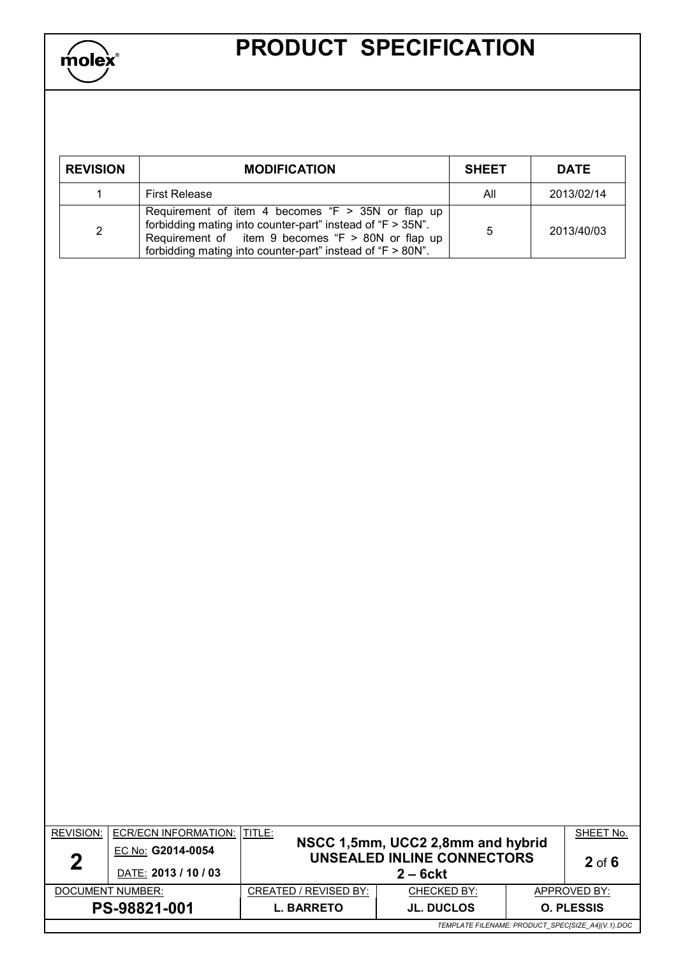

# **PRODUCT SPECIFICATION**

| <b>REVISION</b> | <b>MODIFICATION</b>                                                                                                                                                                                                                   | <b>SHEET</b> | <b>DATE</b> |
|-----------------|---------------------------------------------------------------------------------------------------------------------------------------------------------------------------------------------------------------------------------------|--------------|-------------|
|                 | <b>First Release</b>                                                                                                                                                                                                                  | All          | 2013/02/14  |
| $\overline{2}$  | Requirement of item 4 becomes " $F > 35N$ or flap up<br>forbidding mating into counter-part" instead of "F > 35N".<br>Requirement of item 9 becomes "F > 80N or flap up<br>forbidding mating into counter-part" instead of "F > 80N". | 5            | 2013/40/03  |

| <b>REVISION:</b>                                  | <b>ECR/ECN INFORMATION:</b> | TITLE:                |                                                                 | SHEET No.         |
|---------------------------------------------------|-----------------------------|-----------------------|-----------------------------------------------------------------|-------------------|
| າ                                                 | EC No: G2014-0054           |                       | NSCC 1,5mm, UCC2 2,8mm and hybrid<br>UNSEALED INLINE CONNECTORS | $2$ of $6$        |
|                                                   | DATE: 2013 / 10 / 03        |                       | $2 - 6$ ckt                                                     |                   |
|                                                   | DOCUMENT NUMBER:            | CREATED / REVISED BY: | CHECKED BY:                                                     | APPROVED BY:      |
|                                                   | PS-98821-001                | <b>L. BARRETO</b>     | <b>JL. DUCLOS</b>                                               | <b>O. PLESSIS</b> |
| TEMPLATE FILENAME: PRODUCT_SPEC[SIZE_A4](V.1).DOC |                             |                       |                                                                 |                   |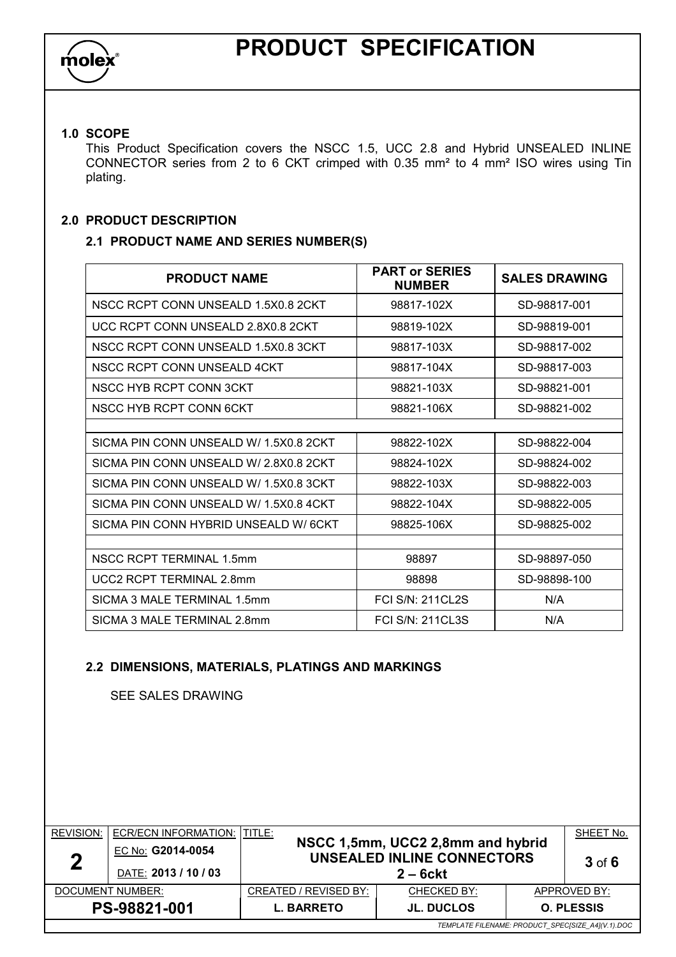

# **1.0 SCOPE**

This Product Specification covers the NSCC 1.5, UCC 2.8 and Hybrid UNSEALED INLINE CONNECTOR series from 2 to 6 CKT crimped with 0.35 mm² to 4 mm² ISO wires using Tin plating.

# **2.0 PRODUCT DESCRIPTION**

#### **2.1 PRODUCT NAME AND SERIES NUMBER(S)**

| <b>PRODUCT NAME</b>                    | <b>PART or SERIES</b><br><b>NUMBER</b> | <b>SALES DRAWING</b> |
|----------------------------------------|----------------------------------------|----------------------|
| NSCC RCPT CONN UNSEALD 1.5X0.8 2CKT    | 98817-102X                             | SD-98817-001         |
| UCC RCPT CONN UNSEALD 2.8X0.8 2CKT     | 98819-102X                             | SD-98819-001         |
| NSCC RCPT CONN UNSEALD 1.5X0.8 3CKT    | 98817-103X                             | SD-98817-002         |
| NSCC RCPT CONN UNSEALD 4CKT            | 98817-104X                             | SD-98817-003         |
| NSCC HYB RCPT CONN 3CKT                | 98821-103X                             | SD-98821-001         |
| NSCC HYB RCPT CONN 6CKT                | 98821-106X                             | SD-98821-002         |
|                                        |                                        |                      |
| SICMA PIN CONN UNSEALD W/ 1.5X0.8 2CKT | 98822-102X                             | SD-98822-004         |
| SICMA PIN CONN UNSEALD W/ 2.8X0.8 2CKT | 98824-102X                             | SD-98824-002         |
| SICMA PIN CONN UNSEALD W/ 1.5X0.8 3CKT | 98822-103X                             | SD-98822-003         |
| SICMA PIN CONN UNSEALD W/ 1.5X0.8 4CKT | 98822-104X                             | SD-98822-005         |
| SICMA PIN CONN HYBRID UNSEALD W/ 6CKT  | 98825-106X                             | SD-98825-002         |
|                                        |                                        |                      |
| NSCC RCPT TERMINAL 1.5mm               | 98897                                  | SD-98897-050         |
| UCC2 RCPT TERMINAL 2.8mm               | 98898                                  | SD-98898-100         |
| SICMA 3 MALE TERMINAL 1.5mm            | <b>FCI S/N: 211CL2S</b>                | N/A                  |
| SICMA 3 MALE TERMINAL 2.8mm            | <b>FCI S/N: 211CL3S</b>                | N/A                  |

# **2.2 DIMENSIONS, MATERIALS, PLATINGS AND MARKINGS**

SEE SALES DRAWING

| <b>REVISION:</b>                                  | <b>ECR/ECN INFORMATION:</b> | TITLE:                                      |                                                                        |              | SHEET No.         |
|---------------------------------------------------|-----------------------------|---------------------------------------------|------------------------------------------------------------------------|--------------|-------------------|
| າ                                                 | EC No: G2014-0054           |                                             | NSCC 1,5mm, UCC2 2,8mm and hybrid<br><b>UNSEALED INLINE CONNECTORS</b> |              | $3$ of $6$        |
|                                                   | DATE: 2013 / 10 / 03        |                                             | $2 - 6$ ckt                                                            |              |                   |
|                                                   | DOCUMENT NUMBER:            | CHECKED BY:<br><b>CREATED / REVISED BY:</b> |                                                                        | APPROVED BY: |                   |
|                                                   | PS-98821-001                | <b>L. BARRETO</b>                           | <b>JL. DUCLOS</b>                                                      |              | <b>O. PLESSIS</b> |
| TEMPLATE FILENAME: PRODUCT_SPEC[SIZE_A4](V.1).DOC |                             |                                             |                                                                        |              |                   |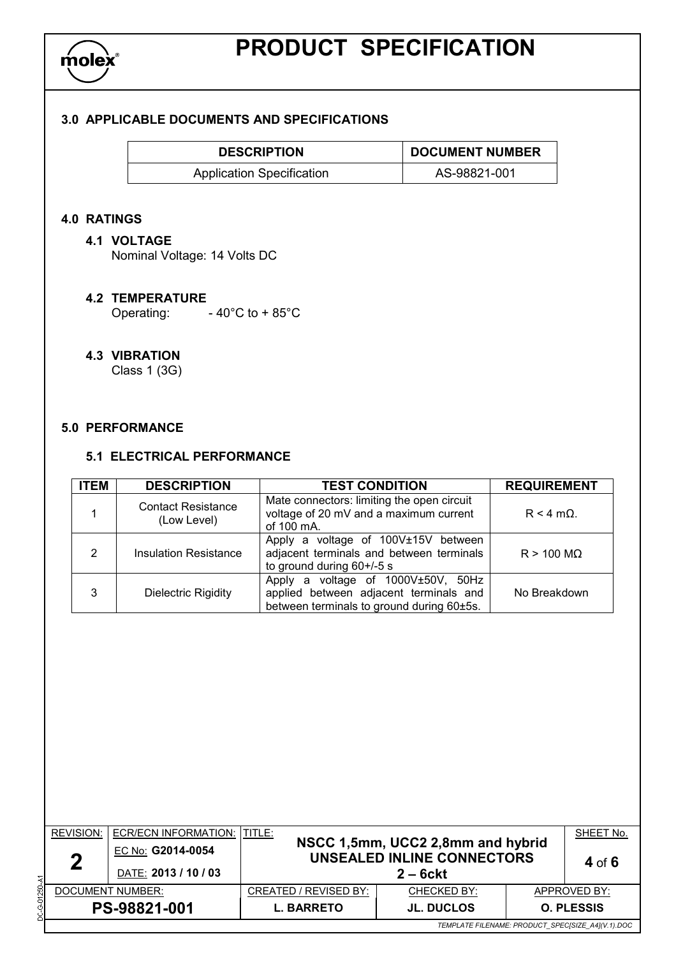

## **3.0 APPLICABLE DOCUMENTS AND SPECIFICATIONS**

| <b>DESCRIPTION</b>               | <b>DOCUMENT NUMBER</b> |
|----------------------------------|------------------------|
| <b>Application Specification</b> | AS-98821-001           |

# **4.0 RATINGS**

#### **4.1 VOLTAGE**

Nominal Voltage: 14 Volts DC

**4.2 TEMPERATURE**  Operating:  $-40^{\circ}$ C to + 85 $^{\circ}$ C

#### **4.3 VIBRATION**

Class 1 (3G)

#### **5.0 PERFORMANCE**

# **5.1 ELECTRICAL PERFORMANCE**

| <b>ITEM</b> | <b>DESCRIPTION</b>                       | <b>TEST CONDITION</b>                                                                                                     | <b>REQUIREMENT</b>   |
|-------------|------------------------------------------|---------------------------------------------------------------------------------------------------------------------------|----------------------|
|             | <b>Contact Resistance</b><br>(Low Level) | Mate connectors: limiting the open circuit<br>voltage of 20 mV and a maximum current<br>of $100 \text{ mA}$ .             | $R < 4$ m $\Omega$ . |
| 2           | <b>Insulation Resistance</b>             | Apply a voltage of 100V±15V between<br>adjacent terminals and between terminals<br>to ground during 60+/-5 s              | $R > 100 M\Omega$    |
| 3           | <b>Dielectric Rigidity</b>               | Apply a voltage of 1000V±50V, 50Hz<br>applied between adjacent terminals and<br>between terminals to ground during 60±5s. | No Breakdown         |

|              | <b>REVISION:</b>                                  | <b>ECR/ECN INFORMATION:   TITLE:</b> |                       |                                                                        | SHEET No.         |
|--------------|---------------------------------------------------|--------------------------------------|-----------------------|------------------------------------------------------------------------|-------------------|
|              | $\boldsymbol{2}$                                  | EC No: G2014-0054                    |                       | NSCC 1,5mm, UCC2 2,8mm and hybrid<br><b>UNSEALED INLINE CONNECTORS</b> | $4$ of 6          |
| ফ            |                                                   | DATE: 2013 / 10 / 03                 |                       | $2 - 6$ ckt                                                            |                   |
| 250          |                                                   | DOCUMENT NUMBER:                     | CREATED / REVISED BY: | CHECKED BY:                                                            | APPROVED BY:      |
| έ<br>୍ମ<br>ଅ |                                                   | PS-98821-001                         | <b>L. BARRETO</b>     | <b>JL. DUCLOS</b>                                                      | <b>O. PLESSIS</b> |
|              | TEMPLATE FILENAME: PRODUCT_SPEC[SIZE_A4](V.1).DOC |                                      |                       |                                                                        |                   |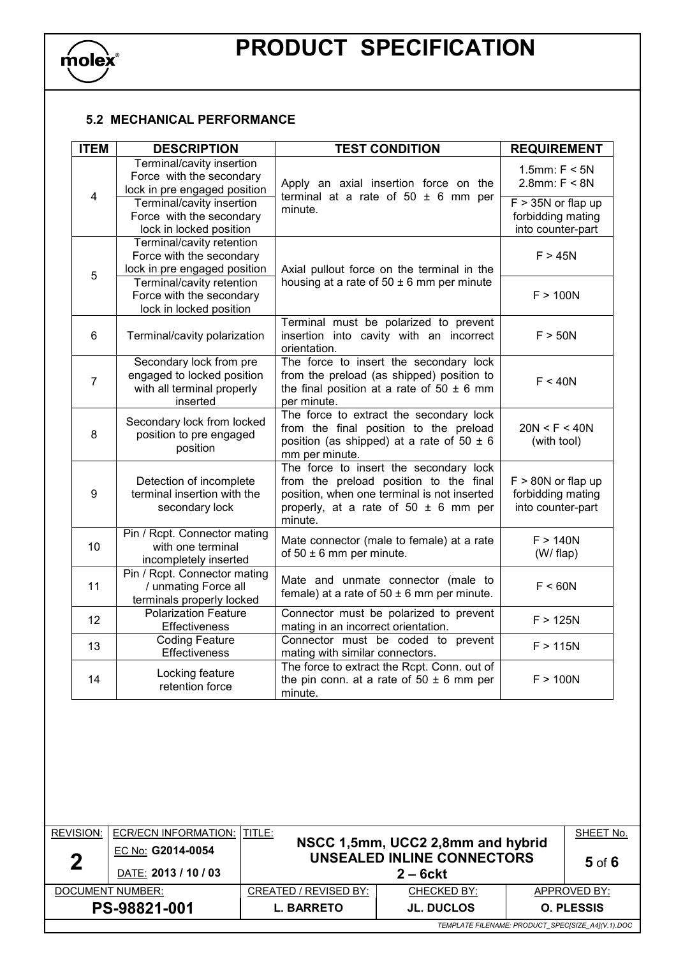

# **5.2 MECHANICAL PERFORMANCE**

| <b>ITEM</b> | <b>DESCRIPTION</b>                                                                              | <b>TEST CONDITION</b>                                                                                                                                                                  | <b>REQUIREMENT</b>                                             |
|-------------|-------------------------------------------------------------------------------------------------|----------------------------------------------------------------------------------------------------------------------------------------------------------------------------------------|----------------------------------------------------------------|
|             | Terminal/cavity insertion<br>Force with the secondary<br>lock in pre engaged position           | Apply an axial insertion force on the                                                                                                                                                  | $1.5$ mm: $F < 5N$<br>$2.8$ mm: $F < 8N$                       |
| 4           | Terminal/cavity insertion<br>Force with the secondary<br>lock in locked position                | terminal at a rate of 50 $\pm$ 6 mm per<br>minute.                                                                                                                                     | $F > 35N$ or flap up<br>forbidding mating<br>into counter-part |
| 5           | Terminal/cavity retention<br>Force with the secondary<br>lock in pre engaged position           | Axial pullout force on the terminal in the                                                                                                                                             | F > 45N                                                        |
|             | Terminal/cavity retention<br>Force with the secondary<br>lock in locked position                | housing at a rate of $50 \pm 6$ mm per minute                                                                                                                                          | F > 100N                                                       |
| 6           | Terminal/cavity polarization                                                                    | Terminal must be polarized to prevent<br>insertion into cavity with an incorrect<br>orientation.                                                                                       | F > 50N                                                        |
| 7           | Secondary lock from pre<br>engaged to locked position<br>with all terminal properly<br>inserted | The force to insert the secondary lock<br>from the preload (as shipped) position to<br>the final position at a rate of $50 \pm 6$ mm<br>per minute.                                    | F < 40N                                                        |
| 8           | Secondary lock from locked<br>position to pre engaged<br>position                               | The force to extract the secondary lock<br>from the final position to the preload<br>position (as shipped) at a rate of 50 $\pm$ 6<br>mm per minute.                                   | 20N < F < 40N<br>(with tool)                                   |
| 9           | Detection of incomplete<br>terminal insertion with the<br>secondary lock                        | The force to insert the secondary lock<br>from the preload position to the final<br>position, when one terminal is not inserted<br>properly, at a rate of $50 \pm 6$ mm per<br>minute. | $F > 80N$ or flap up<br>forbidding mating<br>into counter-part |
| 10          | Pin / Rcpt. Connector mating<br>with one terminal<br>incompletely inserted                      | Mate connector (male to female) at a rate<br>of $50 \pm 6$ mm per minute.                                                                                                              | F > 140N<br>$(W/$ flap)                                        |
| 11          | Pin / Rcpt. Connector mating<br>/ unmating Force all<br>terminals properly locked               | Mate and unmate connector (male to<br>female) at a rate of $50 \pm 6$ mm per minute.                                                                                                   | F < 60N                                                        |
| 12          | Polarization Feature<br>Effectiveness                                                           | Connector must be polarized to prevent<br>mating in an incorrect orientation.                                                                                                          | F > 125N                                                       |
| 13          | <b>Coding Feature</b><br><b>Effectiveness</b>                                                   | Connector must be coded to prevent<br>mating with similar connectors.                                                                                                                  | F > 115N                                                       |
| 14          | Locking feature<br>retention force                                                              | The force to extract the Rcpt. Conn. out of<br>the pin conn. at a rate of $50 \pm 6$ mm per<br>minute.                                                                                 | F > 100N                                                       |

| <b>REVISION:</b>                                  | ECR/ECN INFORMATION: I | TITLE:                | NSCC 1,5mm, UCC2 2,8mm and hybrid | SHEET No.         |
|---------------------------------------------------|------------------------|-----------------------|-----------------------------------|-------------------|
| າ                                                 | EC No: G2014-0054      |                       | UNSEALED INLINE CONNECTORS        | $5$ of $6$        |
|                                                   | DATE: 2013 / 10 / 03   |                       | $2 - 6$ ckt                       |                   |
|                                                   | DOCUMENT NUMBER:       | CREATED / REVISED BY: | CHECKED BY:                       | APPROVED BY:      |
|                                                   | PS-98821-001           | <b>L. BARRETO</b>     | <b>JL. DUCLOS</b>                 | <b>O. PLESSIS</b> |
| TEMPLATE FILENAME: PRODUCT_SPEC[SIZE_A4](V.1).DOC |                        |                       |                                   |                   |